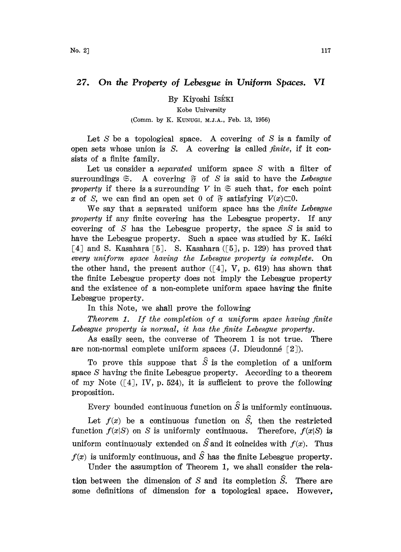## 27. On the Property of Lebesgue in Uniform Spaces. VI

By Kiyoshi IsékI

Kobe University

## (Comm. by K. KUNUGI, M.J.A., Feb. 13, 1956)

Let  $S$  be a topological space. A covering of  $S$  is a family of open sets whose union is  $S$ . A covering is called *finite*, if it consists of a finite family.

Let us consider a *separated* uniform space S with a filter of surroundings  $\mathfrak{S}$ . A covering  $\mathfrak{F}$  of S is said to have the Lebesgue property if there is a surrounding V in  $\mathfrak{S}$  such that, for each point x of S, we can find an open set 0 of  $\mathfrak F$  satisfying  $V(x) \subset 0$ .

We say that a separated uniform space has the  $finite$  Lebesgue property if any finite covering has the Lebesgue property. If any covering of  $S$  has the Lebesgue property, the space  $S$  is said to have the Lebesgue property. Such a space was studied by K. Iséki [4] and S. Kasahara [5]. S. Kasahara ([5], p. 129) has proved that every uniform space having the Lebesgue property is complete. On the other hand, the present author  $(4, V, p. 619)$  has shown that the finite Lebesgue property does not imply the Lebesgue property and the existence of a non-complete uniform space having the finite Lebesgue property.

In this Note, we shall prove the following

Theorem 1. If the completion of a uniform space having finite Lebesgue property is normal, it has the finite Lebesgue property.

As easily seen, the converse of Theorem <sup>1</sup> is not true. There are non-normal complete uniform spaces  $(J.$  Dieudonné  $[2]$ ).

To prove this suppose that  $\hat{S}$  is the completion of a uniform space S having the finite Lebesgue property. According to a theorem of my Note  $([4], W, p. 524)$ , it is sufficient to prove the following proposition.

Every bounded continuous function on  $\hat{S}$  is uniformly continuous.

Let  $f(x)$  be a continuous function on  $\hat{S}$ , then the restricted function  $f(x|S)$  on S is uniformly continuous. Therefore,  $f(x|S)$  is uniform continuously extended on  $\hat{S}$  and it coincides with  $f(x)$ . Thus  $f(x)$  is uniformly continuous, and  $\hat{S}$  has the finite Lebesgue property.

Under the assumption of Theorem 1, we shall consider the relation between the dimension of  $S$  and its completion  $\hat{S}$ . There are some definitions of dimension for a topological space. However,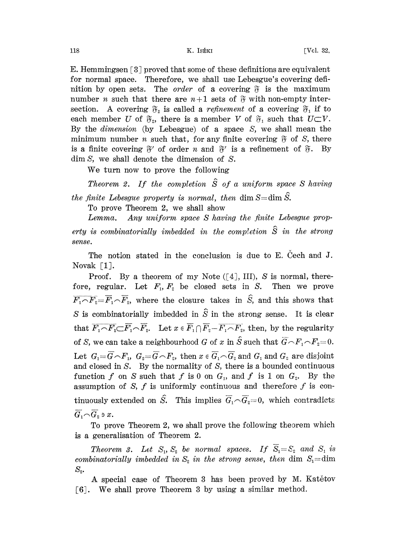E. Hemmingsen  $\lceil 3 \rceil$  proved that some of these definitions are equivalent for normal space. Therefore, we shall use Lebesgue's covering definition by open sets. The *order* of a covering  $\tilde{v}$  is the maximum number *n* such that there are  $n+1$  sets of  $\tilde{\sigma}$  with non-empty intersection. A covering  $\mathfrak{F}_2$  is called a *refinement* of a covering  $\mathfrak{F}_1$  if to each member U of  $\mathfrak{F}_2$ , there is a member V of  $\mathfrak{F}_1$  such that  $U\subset V$ . By the *dimension* (by Lebesgue) of a space  $S$ , we shall mean the minimum number *n* such that, for any finite covering  $\tilde{g}$  of *S*, there is a finite covering  $\mathfrak{F}'$  of order *n* and  $\mathfrak{F}'$  is dim *S*, we shall denote the dimension of *S*. is a finite covering  $\mathfrak{F}'$  of order n and  $\mathfrak{F}'$  is a refinement of  $\mathfrak{F}$ . By

We turn now to prove the following

Theorem 2. If the completion  $\hat{S}$  of a uniform space S having

the finite Lebesgue property is normal, then dim  $S = \dim \widehat{S}$ .

To prove Theorem 2, we shall show

Lemma. Any uniform space S having the finite Lebesgue property is combinatorially imbedded in the completion  $\hat{S}$  in the strong sense.

The notion stated in the conclusion is due to  $E$ . Cech and  $J$ . Novak [1].

Proof. By a theorem of my Note  $([4], III)$ , S is normal, therefore, regular. Let  $F_1, F_2$  be closed sets in S. Then we prove  $\overline{F_1 \cap F_2} = \overline{F}_1 \cap \overline{F}_2$ , where the closure takes in  $\hat{S}$ , and this shows that S is combinatorially imbedded in  $\hat{S}$  in the strong sense. It is clear that  $\overline{F_1 \cap F_2 \subset \overline{F_1} \cap \overline{F_2}}$ . Let  $x \in \overline{F_1} \cap \overline{F_2} - \overline{F_1 \cap F_2}$ , then, by the regularity of S, we can take a neighbourhood G of x in  $\hat{S}$  such that  $\hat{G} \cap F_1 \cap F_2 = 0$ . Let  $G_1 = \overline{G} \cap F_1$ ,  $G_2 = \overline{G} \cap F_2$ , then  $x \in \overline{G}_1 \cap \overline{G}_2$  and  $G_1$  and  $G_2$  are disjoint and closed in S. By the normality of S, there is a bounded continuous function f on S such that f is 0 on  $G_1$ , and f is 1 on  $G_2$ . By the assumption of S,  $f$  is uniformly continuous and therefore  $f$  is continuously extended on  $\hat{S}$ . This implies  $\overline{G}_1 \cap \overline{G}_2 = 0$ , which contradicts  $\overline{G}_1 \cap \overline{G}_2$   $\ni x$ .

To prove Theorem 2, we shall prove the following theorem which is a generalisation of Theorem 2.

Theorem 3. Let  $S_1$ ,  $S_2$  be normal spaces. If  $\overline{S}_1 = S_2$  and  $S_1$  is combinatorially imbedded in  $S_2$  in the strong sense, then dim  $S_1 =$ dim  $S_{2}$ .

A special case of Theorem 3 has been proved by M. Katetov [6]. We shall prove Theorem 3 by using a similar method.